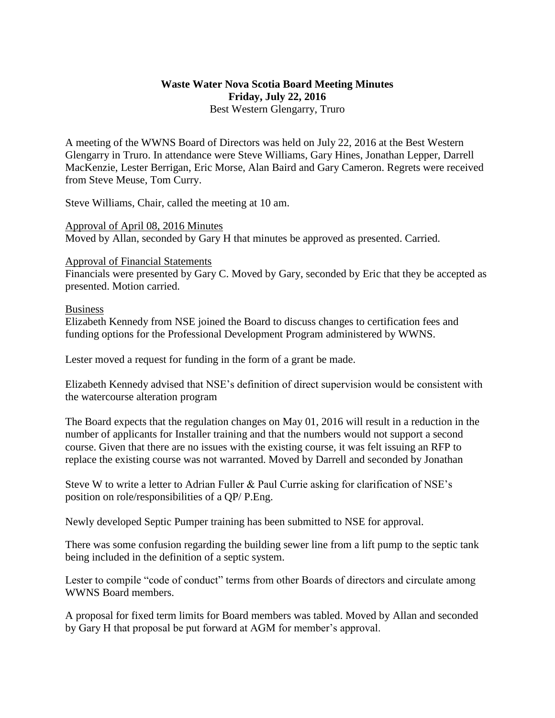## **Waste Water Nova Scotia Board Meeting Minutes Friday, July 22, 2016** Best Western Glengarry, Truro

A meeting of the WWNS Board of Directors was held on July 22, 2016 at the Best Western Glengarry in Truro. In attendance were Steve Williams, Gary Hines, Jonathan Lepper, Darrell MacKenzie, Lester Berrigan, Eric Morse, Alan Baird and Gary Cameron. Regrets were received from Steve Meuse, Tom Curry.

Steve Williams, Chair, called the meeting at 10 am.

Approval of April 08, 2016 Minutes Moved by Allan, seconded by Gary H that minutes be approved as presented. Carried.

## Approval of Financial Statements

Financials were presented by Gary C. Moved by Gary, seconded by Eric that they be accepted as presented. Motion carried.

## Business

Elizabeth Kennedy from NSE joined the Board to discuss changes to certification fees and funding options for the Professional Development Program administered by WWNS.

Lester moved a request for funding in the form of a grant be made.

Elizabeth Kennedy advised that NSE's definition of direct supervision would be consistent with the watercourse alteration program

The Board expects that the regulation changes on May 01, 2016 will result in a reduction in the number of applicants for Installer training and that the numbers would not support a second course. Given that there are no issues with the existing course, it was felt issuing an RFP to replace the existing course was not warranted. Moved by Darrell and seconded by Jonathan

Steve W to write a letter to Adrian Fuller & Paul Currie asking for clarification of NSE's position on role/responsibilities of a QP/ P.Eng.

Newly developed Septic Pumper training has been submitted to NSE for approval.

There was some confusion regarding the building sewer line from a lift pump to the septic tank being included in the definition of a septic system.

Lester to compile "code of conduct" terms from other Boards of directors and circulate among WWNS Board members.

A proposal for fixed term limits for Board members was tabled. Moved by Allan and seconded by Gary H that proposal be put forward at AGM for member's approval.